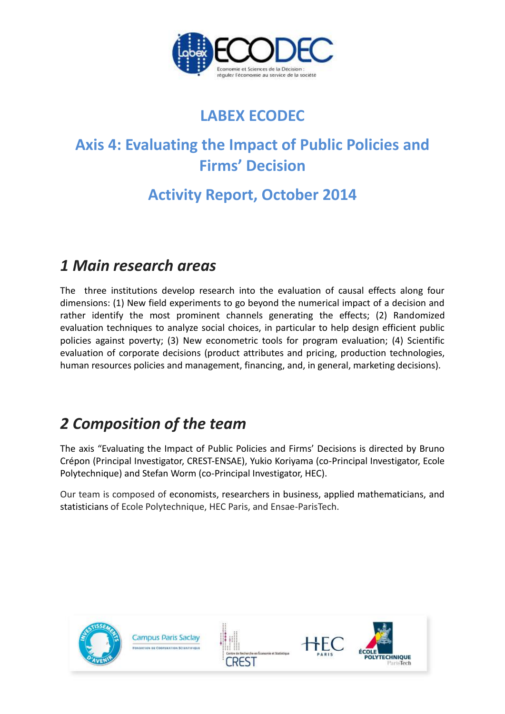

# **LABEX ECODEC**

# **Axis 4: Evaluating the Impact of Public Policies and Firms' Decision**

# **Activity Report, October 2014**

# *1 Main research areas*

The three institutions develop research into the evaluation of causal effects along four dimensions: (1) New field experiments to go beyond the numerical impact of a decision and rather identify the most prominent channels generating the effects; (2) Randomized evaluation techniques to analyze social choices, in particular to help design efficient public policies against poverty; (3) New econometric tools for program evaluation; (4) Scientific evaluation of corporate decisions (product attributes and pricing, production technologies, human resources policies and management, financing, and, in general, marketing decisions).

# *2 Composition of the team*

The axis "Evaluating the Impact of Public Policies and Firms' Decisions is directed by Bruno Crépon (Principal Investigator, CREST-ENSAE), Yukio Koriyama (co-Principal Investigator, Ecole Polytechnique) and Stefan Worm (co-Principal Investigator, HEC).

Our team is composed of economists, researchers in business, applied mathematicians, and statisticians of Ecole Polytechnique, HEC Paris, and Ensae-ParisTech.

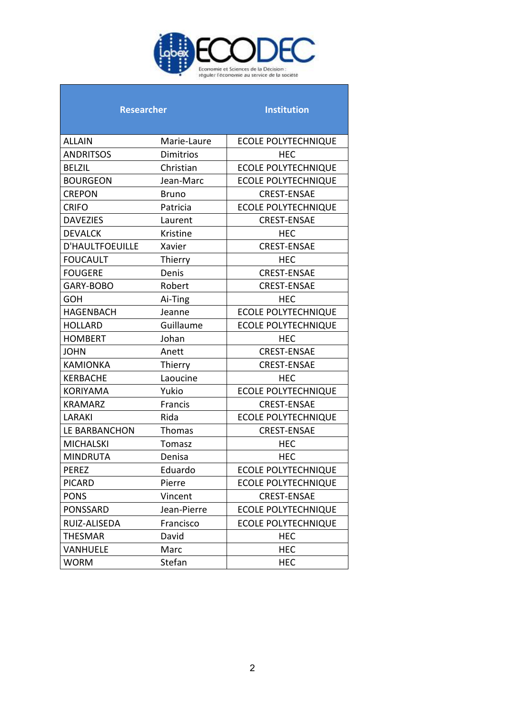

| <b>Researcher</b> |  |
|-------------------|--|

# **Researcher Institution**

| <b>ALLAIN</b>          | Marie-Laure      | <b>ECOLE POLYTECHNIQUE</b> |  |
|------------------------|------------------|----------------------------|--|
| <b>ANDRITSOS</b>       | <b>Dimitrios</b> | <b>HEC</b>                 |  |
| <b>BELZIL</b>          | Christian        | <b>ECOLE POLYTECHNIQUE</b> |  |
| <b>BOURGEON</b>        | Jean-Marc        | <b>ECOLE POLYTECHNIQUE</b> |  |
| <b>CREPON</b>          | <b>Bruno</b>     | <b>CREST-ENSAE</b>         |  |
| <b>CRIFO</b>           | Patricia         | <b>ECOLE POLYTECHNIQUE</b> |  |
| <b>DAVEZIES</b>        | Laurent          | <b>CREST-ENSAE</b>         |  |
| <b>DEVALCK</b>         | Kristine         | <b>HEC</b>                 |  |
| <b>D'HAULTFOEUILLE</b> | Xavier           | <b>CREST-ENSAE</b>         |  |
| <b>FOUCAULT</b>        | Thierry          | <b>HEC</b>                 |  |
| <b>FOUGERE</b>         | Denis            | <b>CREST-ENSAE</b>         |  |
| GARY-BOBO              | Robert           | <b>CREST-ENSAE</b>         |  |
| <b>GOH</b>             | Ai-Ting          | <b>HEC</b>                 |  |
| <b>HAGENBACH</b>       | Jeanne           | <b>ECOLE POLYTECHNIQUE</b> |  |
| <b>HOLLARD</b>         | Guillaume        | <b>ECOLE POLYTECHNIQUE</b> |  |
| <b>HOMBERT</b>         | Johan            | <b>HEC</b>                 |  |
| <b>JOHN</b>            | Anett            | <b>CREST-ENSAE</b>         |  |
| <b>KAMIONKA</b>        | Thierry          | <b>CREST-ENSAE</b>         |  |
| <b>KERBACHE</b>        | Laoucine         | <b>HEC</b>                 |  |
| <b>KORIYAMA</b>        | Yukio            | <b>ECOLE POLYTECHNIQUE</b> |  |
| <b>KRAMARZ</b>         | Francis          | <b>CREST-ENSAE</b>         |  |
| LARAKI                 | Rida             | <b>ECOLE POLYTECHNIQUE</b> |  |
| LE BARBANCHON          | Thomas           | <b>CREST-ENSAE</b>         |  |
| <b>MICHALSKI</b>       | Tomasz           | <b>HEC</b>                 |  |
| <b>MINDRUTA</b>        | Denisa           | <b>HEC</b>                 |  |
| <b>PEREZ</b>           | Eduardo          | <b>ECOLE POLYTECHNIQUE</b> |  |
| <b>PICARD</b>          | Pierre           | <b>ECOLE POLYTECHNIQUE</b> |  |
| <b>PONS</b>            | Vincent          | <b>CREST-ENSAE</b>         |  |
| <b>PONSSARD</b>        | Jean-Pierre      | <b>ECOLE POLYTECHNIQUE</b> |  |
| RUIZ-ALISEDA           | Francisco        | <b>ECOLE POLYTECHNIQUE</b> |  |
| <b>THESMAR</b>         | David            | <b>HEC</b>                 |  |
| VANHUELE               | Marc             | <b>HEC</b>                 |  |
| <b>WORM</b>            | Stefan           | <b>HEC</b>                 |  |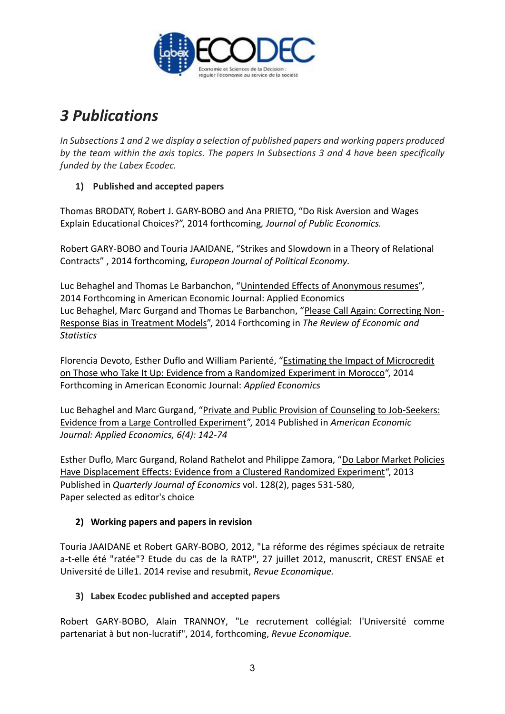

# *3 Publications*

*In Subsections 1 and 2 we display a selection of published papers and working papers produced by the team within the axis topics. The papers In Subsections 3 and 4 have been specifically funded by the Labex Ecodec.*

# **1) Published and accepted papers**

Thomas BRODATY, Robert J. GARY-BOBO and Ana PRIETO, "Do Risk Aversion and Wages Explain Educational Choices?", 2014 forthcoming*, Journal of Public Economics.* 

Robert GARY-BOBO and Touria JAAIDANE, "Strikes and Slowdown in a Theory of Relational Contracts" , 2014 forthcoming, *European Journal of Political Economy.* 

Luc Behaghel and Thomas Le Barbanchon, ["Unintended Effects of Anonymous resumes"](http://ftp.iza.org/dp8517.pdf), 2014 Forthcoming in American Economic Journal: Applied Economics Luc Behaghel, Marc Gurgand and Thomas Le Barbanchon, ["Please Call Again: Correcting Non-](http://ftp.iza.org/dp6751.pdf)[Response Bias in Treatment Models"](http://ftp.iza.org/dp6751.pdf), 2014 Forthcoming in *The Review of Economic and Statistics*

Florencia Devoto, Esther Duflo and William Parienté, ["Estimating the Impact of Microcredit](http://www.povertyactionlab.org/publication/estimating-impact-microcredit-those-who-take-it-evidence-randomized-experiment-morocco)  [on Those who Take It Up: Evidence from a Randomized Experiment in Morocco"](http://www.povertyactionlab.org/publication/estimating-impact-microcredit-those-who-take-it-evidence-randomized-experiment-morocco), 2014 Forthcoming in American Economic Journal: *Applied Economics*

Luc Behaghel and Marc Gurgand, ["Private and Public Provision of Counseling to Job-Seekers:](https://docs.google.com/file/d/1i01N2aX1Rg26z3DoNpXHPcHoeol2q-sChMQazTTXVUnzGp0RmIwwz65bp2-F/edit?usp=sharing)  [Evidence from a Large Controlled Experiment"](https://docs.google.com/file/d/1i01N2aX1Rg26z3DoNpXHPcHoeol2q-sChMQazTTXVUnzGp0RmIwwz65bp2-F/edit?usp=sharing), 2014 Published in *American Economic Journal: Applied Economics, 6(4): 142-74*

Esther Duflo, Marc Gurgand, Roland Rathelot and Philippe Zamora, ["Do Labor Market Policies](https://docs.google.com/file/d/17O7mmhAt2AiiIbhi_iahtopRuNuDGZ2QyKfMOMbn5TR6EcnZzRgZlR0oK3gJ/edit)  [Have Displacement Effects: Evidence from a Clustered Randomized Experiment"](https://docs.google.com/file/d/17O7mmhAt2AiiIbhi_iahtopRuNuDGZ2QyKfMOMbn5TR6EcnZzRgZlR0oK3gJ/edit), 2013 Published in *Quarterly Journal of Economics* vol. 128(2), pages 531-580, Paper selected as editor's choice

# **2) Working papers and papers in revision**

Touria JAAIDANE et Robert GARY-BOBO, 2012, "La réforme des régimes spéciaux de retraite a-t-elle été "ratée"? Etude du cas de la RATP", 27 juillet 2012, manuscrit, CREST ENSAE et Université de Lille1. 2014 revise and resubmit, *Revue Economique.*

# **3) Labex Ecodec published and accepted papers**

Robert GARY-BOBO, Alain TRANNOY, "Le recrutement collégial: l'Université comme partenariat à but non-lucratif", 2014, forthcoming, *Revue Economique.*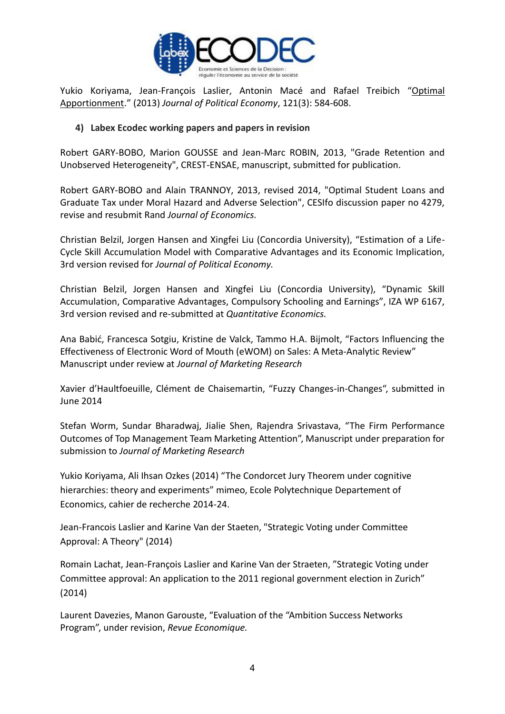

Yukio Koriyama, Jean-François Laslier, Antonin Macé and Rafael Treibich "[Optimal](http://www.jstor.org/stable/10.1086/670380)  [Apportionment](http://www.jstor.org/stable/10.1086/670380)." (2013) *Journal of Political Economy*, 121(3): 584-608.

#### **4) Labex Ecodec working papers and papers in revision**

Robert GARY-BOBO, Marion GOUSSE and Jean-Marc ROBIN, 2013, "Grade Retention and Unobserved Heterogeneity", CREST-ENSAE, manuscript, submitted for publication.

Robert GARY-BOBO and Alain TRANNOY, 2013, revised 2014, "Optimal Student Loans and Graduate Tax under Moral Hazard and Adverse Selection", CESIfo discussion paper no 4279, revise and resubmit Rand *Journal of Economics.* 

Christian Belzil, Jorgen Hansen and Xingfei Liu (Concordia University), "Estimation of a Life-Cycle Skill Accumulation Model with Comparative Advantages and its Economic Implication, 3rd version revised for *Journal of Political Economy.*

Christian Belzil, Jorgen Hansen and Xingfei Liu (Concordia University), "Dynamic Skill Accumulation, Comparative Advantages, Compulsory Schooling and Earnings", IZA WP 6167, 3rd version revised and re-submitted at *Quantitative Economics.* 

Ana Babić, Francesca Sotgiu, Kristine de Valck, Tammo H.A. Bijmolt, "Factors Influencing the Effectiveness of Electronic Word of Mouth (eWOM) on Sales: A Meta-Analytic Review" Manuscript under review at *Journal of Marketing Research* 

Xavier d'Haultfoeuille, Clément de Chaisemartin, "Fuzzy Changes-in-Changes", submitted in June 2014

Stefan Worm, Sundar Bharadwaj, Jialie Shen, Rajendra Srivastava, "The Firm Performance Outcomes of Top Management Team Marketing Attention", Manuscript under preparation for submission to *Journal of Marketing Research* 

Yukio Koriyama, Ali Ihsan Ozkes (2014) "The Condorcet Jury Theorem under cognitive hierarchies: theory and experiments" mimeo, Ecole Polytechnique Departement of Economics, cahier de recherche 2014-24.

Jean-Francois Laslier and Karine Van der Staeten, "Strategic Voting under Committee Approval: A Theory" (2014)

Romain Lachat, Jean-François Laslier and Karine Van der Straeten, "Strategic Voting under Committee approval: An application to the 2011 regional government election in Zurich" (2014)

Laurent Davezies, Manon Garouste, "Evaluation of the "Ambition Success Networks Program", under revision, *Revue Economique.*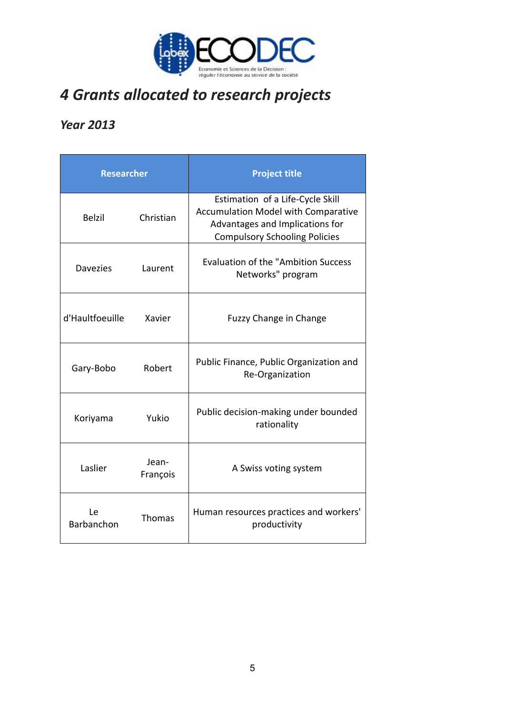

# *4 Grants allocated to research projects*

# *Year 2013*

| <b>Researcher</b> |                   | <b>Project title</b>                                                                                                                                      |  |  |
|-------------------|-------------------|-----------------------------------------------------------------------------------------------------------------------------------------------------------|--|--|
| <b>Belzil</b>     | Christian         | Estimation of a Life-Cycle Skill<br><b>Accumulation Model with Comparative</b><br>Advantages and Implications for<br><b>Compulsory Schooling Policies</b> |  |  |
| <b>Davezies</b>   | Laurent           | <b>Evaluation of the "Ambition Success</b><br>Networks" program                                                                                           |  |  |
| d'Haultfoeuille   | Xavier            | <b>Fuzzy Change in Change</b>                                                                                                                             |  |  |
| Gary-Bobo         | Robert            | Public Finance, Public Organization and<br>Re-Organization                                                                                                |  |  |
| Koriyama          | Yukio             | Public decision-making under bounded<br>rationality                                                                                                       |  |  |
| Laslier           | Jean-<br>François | A Swiss voting system                                                                                                                                     |  |  |
| Le<br>Barbanchon  | Thomas            | Human resources practices and workers'<br>productivity                                                                                                    |  |  |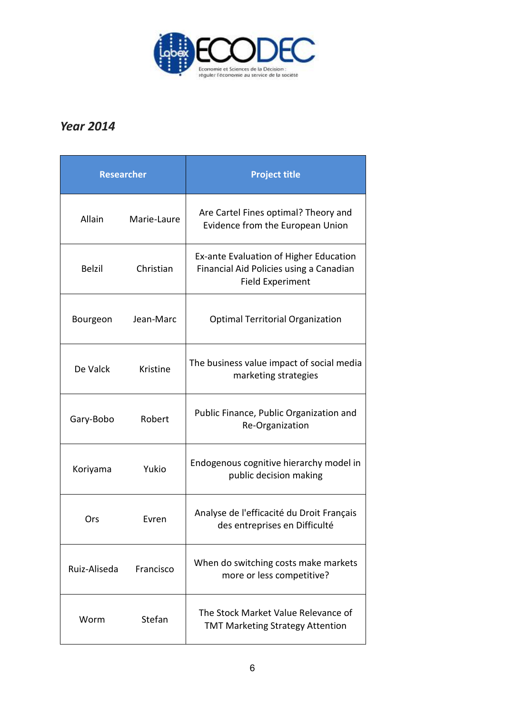

# *Year 2014*

| <b>Researcher</b> |             | <b>Project title</b>                                                                                         |  |  |
|-------------------|-------------|--------------------------------------------------------------------------------------------------------------|--|--|
| Allain            | Marie-Laure | Are Cartel Fines optimal? Theory and<br>Evidence from the European Union                                     |  |  |
| <b>Belzil</b>     | Christian   | Ex-ante Evaluation of Higher Education<br>Financial Aid Policies using a Canadian<br><b>Field Experiment</b> |  |  |
| Bourgeon          | Jean-Marc   | <b>Optimal Territorial Organization</b>                                                                      |  |  |
| De Valck          | Kristine    | The business value impact of social media<br>marketing strategies                                            |  |  |
| Gary-Bobo         | Robert      | Public Finance, Public Organization and<br>Re-Organization                                                   |  |  |
| Koriyama          | Yukio       | Endogenous cognitive hierarchy model in<br>public decision making                                            |  |  |
| Ors               | Evren       | Analyse de l'efficacité du Droit Français<br>des entreprises en Difficulté                                   |  |  |
| Ruiz-Aliseda      | Francisco   | When do switching costs make markets<br>more or less competitive?                                            |  |  |
| Worm              | Stefan      | The Stock Market Value Relevance of<br><b>TMT Marketing Strategy Attention</b>                               |  |  |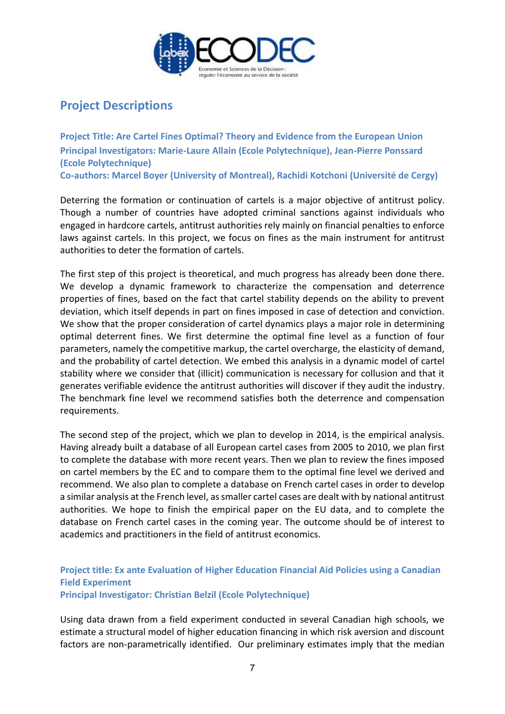

# **Project Descriptions**

**Project Title: Are Cartel Fines Optimal? Theory and Evidence from the European Union Principal Investigators: Marie-Laure Allain (Ecole Polytechnique), Jean-Pierre Ponssard (Ecole Polytechnique) Co-authors: Marcel Boyer (University of Montreal), Rachidi Kotchoni (Université de Cergy)** 

Deterring the formation or continuation of cartels is a major objective of antitrust policy. Though a number of countries have adopted criminal sanctions against individuals who engaged in hardcore cartels, antitrust authorities rely mainly on financial penalties to enforce laws against cartels. In this project, we focus on fines as the main instrument for antitrust authorities to deter the formation of cartels.

The first step of this project is theoretical, and much progress has already been done there. We develop a dynamic framework to characterize the compensation and deterrence properties of fines, based on the fact that cartel stability depends on the ability to prevent deviation, which itself depends in part on fines imposed in case of detection and conviction. We show that the proper consideration of cartel dynamics plays a major role in determining optimal deterrent fines. We first determine the optimal fine level as a function of four parameters, namely the competitive markup, the cartel overcharge, the elasticity of demand, and the probability of cartel detection. We embed this analysis in a dynamic model of cartel stability where we consider that (illicit) communication is necessary for collusion and that it generates verifiable evidence the antitrust authorities will discover if they audit the industry. The benchmark fine level we recommend satisfies both the deterrence and compensation requirements.

The second step of the project, which we plan to develop in 2014, is the empirical analysis. Having already built a database of all European cartel cases from 2005 to 2010, we plan first to complete the database with more recent years. Then we plan to review the fines imposed on cartel members by the EC and to compare them to the optimal fine level we derived and recommend. We also plan to complete a database on French cartel cases in order to develop a similar analysis at the French level, as smaller cartel cases are dealt with by national antitrust authorities. We hope to finish the empirical paper on the EU data, and to complete the database on French cartel cases in the coming year. The outcome should be of interest to academics and practitioners in the field of antitrust economics.

# **Project title: Ex ante Evaluation of Higher Education Financial Aid Policies using a Canadian Field Experiment Principal Investigator: Christian Belzil (Ecole Polytechnique)**

Using data drawn from a field experiment conducted in several Canadian high schools, we estimate a structural model of higher education financing in which risk aversion and discount factors are non-parametrically identified. Our preliminary estimates imply that the median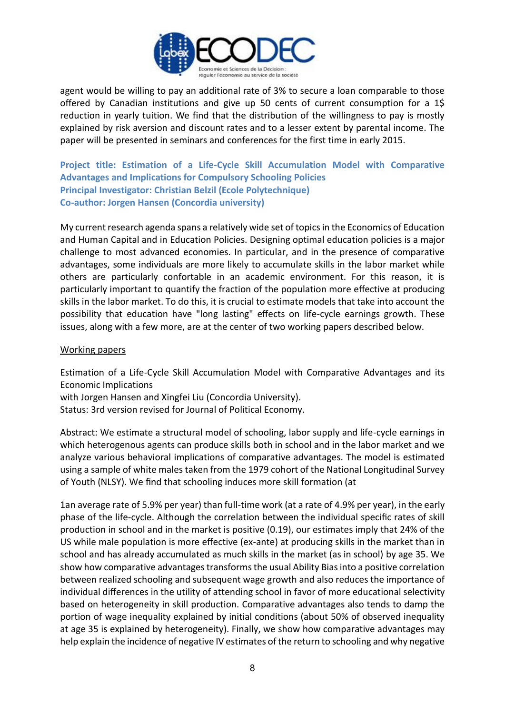

agent would be willing to pay an additional rate of 3% to secure a loan comparable to those offered by Canadian institutions and give up 50 cents of current consumption for a 1\$ reduction in yearly tuition. We find that the distribution of the willingness to pay is mostly explained by risk aversion and discount rates and to a lesser extent by parental income. The paper will be presented in seminars and conferences for the first time in early 2015.

**Project title: Estimation of a Life-Cycle Skill Accumulation Model with Comparative Advantages and Implications for Compulsory Schooling Policies Principal Investigator: Christian Belzil (Ecole Polytechnique) Co-author: Jorgen Hansen (Concordia university)** 

My current research agenda spans a relatively wide set of topics in the Economics of Education and Human Capital and in Education Policies. Designing optimal education policies is a major challenge to most advanced economies. In particular, and in the presence of comparative advantages, some individuals are more likely to accumulate skills in the labor market while others are particularly confortable in an academic environment. For this reason, it is particularly important to quantify the fraction of the population more effective at producing skills in the labor market. To do this, it is crucial to estimate models that take into account the possibility that education have "long lasting" effects on life-cycle earnings growth. These issues, along with a few more, are at the center of two working papers described below.

#### Working papers

Estimation of a Life-Cycle Skill Accumulation Model with Comparative Advantages and its Economic Implications

with Jorgen Hansen and Xingfei Liu (Concordia University).

Status: 3rd version revised for Journal of Political Economy.

Abstract: We estimate a structural model of schooling, labor supply and life-cycle earnings in which heterogenous agents can produce skills both in school and in the labor market and we analyze various behavioral implications of comparative advantages. The model is estimated using a sample of white males taken from the 1979 cohort of the National Longitudinal Survey of Youth (NLSY). We find that schooling induces more skill formation (at

1an average rate of 5.9% per year) than full-time work (at a rate of 4.9% per year), in the early phase of the life-cycle. Although the correlation between the individual specific rates of skill production in school and in the market is positive (0.19), our estimates imply that 24% of the US while male population is more effective (ex-ante) at producing skills in the market than in school and has already accumulated as much skills in the market (as in school) by age 35. We show how comparative advantages transforms the usual Ability Bias into a positive correlation between realized schooling and subsequent wage growth and also reduces the importance of individual differences in the utility of attending school in favor of more educational selectivity based on heterogeneity in skill production. Comparative advantages also tends to damp the portion of wage inequality explained by initial conditions (about 50% of observed inequality at age 35 is explained by heterogeneity). Finally, we show how comparative advantages may help explain the incidence of negative IV estimates of the return to schooling and why negative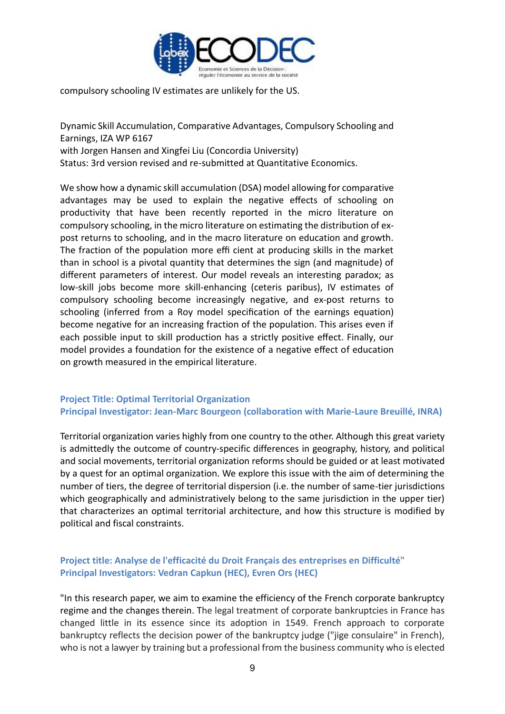

compulsory schooling IV estimates are unlikely for the US.

Dynamic Skill Accumulation, Comparative Advantages, Compulsory Schooling and Earnings, IZA WP 6167 with Jorgen Hansen and Xingfei Liu (Concordia University) Status: 3rd version revised and re-submitted at Quantitative Economics.

We show how a dynamic skill accumulation (DSA) model allowing for comparative advantages may be used to explain the negative effects of schooling on productivity that have been recently reported in the micro literature on compulsory schooling, in the micro literature on estimating the distribution of expost returns to schooling, and in the macro literature on education and growth. The fraction of the population more effi cient at producing skills in the market than in school is a pivotal quantity that determines the sign (and magnitude) of different parameters of interest. Our model reveals an interesting paradox; as low-skill jobs become more skill-enhancing (ceteris paribus), IV estimates of compulsory schooling become increasingly negative, and ex-post returns to schooling (inferred from a Roy model specification of the earnings equation) become negative for an increasing fraction of the population. This arises even if each possible input to skill production has a strictly positive effect. Finally, our model provides a foundation for the existence of a negative effect of education on growth measured in the empirical literature.

### **Project Title: Optimal Territorial Organization Principal Investigator: Jean-Marc Bourgeon (collaboration with Marie-Laure Breuillé, INRA)**

Territorial organization varies highly from one country to the other. Although this great variety is admittedly the outcome of country-specific differences in geography, history, and political and social movements, territorial organization reforms should be guided or at least motivated by a quest for an optimal organization. We explore this issue with the aim of determining the number of tiers, the degree of territorial dispersion (i.e. the number of same-tier jurisdictions which geographically and administratively belong to the same jurisdiction in the upper tier) that characterizes an optimal territorial architecture, and how this structure is modified by political and fiscal constraints.

# **Project title: Analyse de l'efficacité du Droit Français des entreprises en Difficulté" Principal Investigators: Vedran Capkun (HEC), Evren Ors (HEC)**

"In this research paper, we aim to examine the efficiency of the French corporate bankruptcy regime and the changes therein. The legal treatment of corporate bankruptcies in France has changed little in its essence since its adoption in 1549. French approach to corporate bankruptcy reflects the decision power of the bankruptcy judge ("jige consulaire" in French), who is not a lawyer by training but a professional from the business community who is elected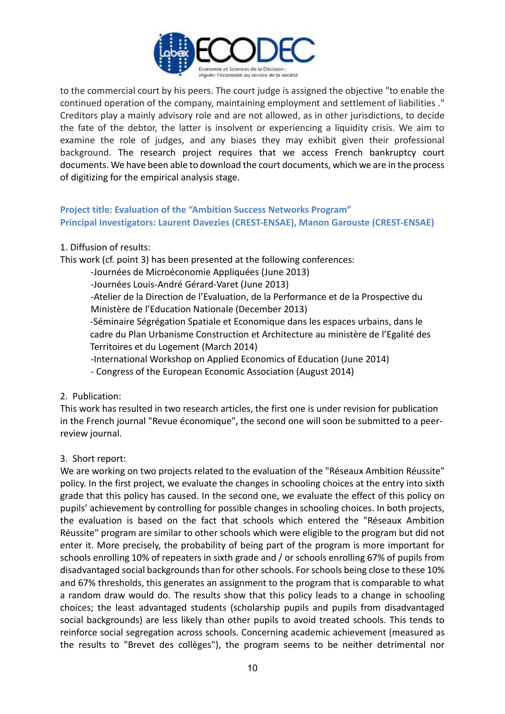

to the commercial court by his peers. The court judge is assigned the objective "to enable the continued operation of the company, maintaining employment and settlement of liabilities ." Creditors play a mainly advisory role and are not allowed, as in other jurisdictions, to decide the fate of the debtor, the latter is insolvent or experiencing a liquidity crisis. We aim to examine the role of judges, and any biases they may exhibit given their professional background. The research project requires that we access French bankruptcy court documents. We have been able to download the court documents, which we are in the process of digitizing for the empirical analysis stage.

# **Project title: Evaluation of the "Ambition Success Networks Program" Principal Investigators: Laurent Davezies (CREST-ENSAE), Manon Garouste (CREST-ENSAE)**

1. Diffusion of results:

This work (cf. point 3) has been presented at the following conferences:

-Journées de Microéconomie Appliquées (June 2013)

-Journées Louis-André Gérard-Varet (June 2013)

-Atelier de la Direction de l'Evaluation, de la Performance et de la Prospective du Ministère de l'Education Nationale (December 2013)

-Séminaire Ségrégation Spatiale et Economique dans les espaces urbains, dans le cadre du Plan Urbanisme Construction et Architecture au ministère de l'Egalité des Territoires et du Logement (March 2014)

-International Workshop on Applied Economics of Education (June 2014)

- Congress of the European Economic Association (August 2014)

### 2. Publication:

This work has resulted in two research articles, the first one is under revision for publication in the French journal "Revue économique", the second one will soon be submitted to a peerreview journal.

### 3. Short report:

We are working on two projects related to the evaluation of the "Réseaux Ambition Réussite" policy. In the first project, we evaluate the changes in schooling choices at the entry into sixth grade that this policy has caused. In the second one, we evaluate the effect of this policy on pupils' achievement by controlling for possible changes in schooling choices. In both projects, the evaluation is based on the fact that schools which entered the "Réseaux Ambition Réussite" program are similar to other schools which were eligible to the program but did not enter it. More precisely, the probability of being part of the program is more important for schools enrolling 10% of repeaters in sixth grade and / or schools enrolling 67% of pupils from disadvantaged social backgrounds than for other schools. For schools being close to these 10% and 67% thresholds, this generates an assignment to the program that is comparable to what a random draw would do. The results show that this policy leads to a change in schooling choices; the least advantaged students (scholarship pupils and pupils from disadvantaged social backgrounds) are less likely than other pupils to avoid treated schools. This tends to reinforce social segregation across schools. Concerning academic achievement (measured as the results to "Brevet des collèges"), the program seems to be neither detrimental nor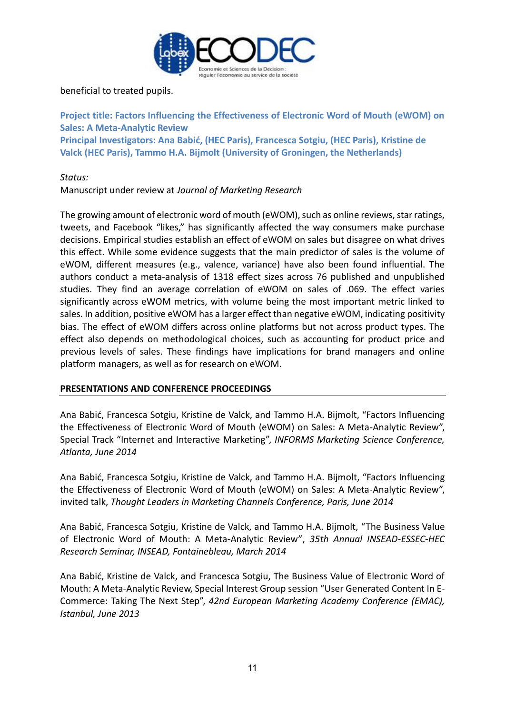

beneficial to treated pupils.

**Project title: Factors Influencing the Effectiveness of Electronic Word of Mouth (eWOM) on Sales: A Meta-Analytic Review Principal Investigators: Ana Babić, (HEC Paris), Francesca Sotgiu, (HEC Paris), Kristine de Valck (HEC Paris), Tammo H.A. Bijmolt (University of Groningen, the Netherlands)**

*Status:* 

Manuscript under review at *Journal of Marketing Research* 

The growing amount of electronic word of mouth (eWOM), such as online reviews, star ratings, tweets, and Facebook "likes," has significantly affected the way consumers make purchase decisions. Empirical studies establish an effect of eWOM on sales but disagree on what drives this effect. While some evidence suggests that the main predictor of sales is the volume of eWOM, different measures (e.g., valence, variance) have also been found influential. The authors conduct a meta-analysis of 1318 effect sizes across 76 published and unpublished studies. They find an average correlation of eWOM on sales of .069. The effect varies significantly across eWOM metrics, with volume being the most important metric linked to sales. In addition, positive eWOM has a larger effect than negative eWOM, indicating positivity bias. The effect of eWOM differs across online platforms but not across product types. The effect also depends on methodological choices, such as accounting for product price and previous levels of sales. These findings have implications for brand managers and online platform managers, as well as for research on eWOM.

### **PRESENTATIONS AND CONFERENCE PROCEEDINGS**

Ana Babić, Francesca Sotgiu, Kristine de Valck, and Tammo H.A. Bijmolt, "Factors Influencing the Effectiveness of Electronic Word of Mouth (eWOM) on Sales: A Meta-Analytic Review", Special Track "Internet and Interactive Marketing", *INFORMS Marketing Science Conference, Atlanta, June 2014*

Ana Babić, Francesca Sotgiu, Kristine de Valck, and Tammo H.A. Bijmolt, "Factors Influencing the Effectiveness of Electronic Word of Mouth (eWOM) on Sales: A Meta-Analytic Review", invited talk, *Thought Leaders in Marketing Channels Conference, Paris, June 2014*

Ana Babić, Francesca Sotgiu, Kristine de Valck, and Tammo H.A. Bijmolt, "The Business Value of Electronic Word of Mouth: A Meta-Analytic Review", *35th Annual INSEAD-ESSEC-HEC Research Seminar, INSEAD, Fontainebleau, March 2014*

Ana Babić, Kristine de Valck, and Francesca Sotgiu, The Business Value of Electronic Word of Mouth: A Meta-Analytic Review, Special Interest Group session "User Generated Content In E-Commerce: Taking The Next Step", *42nd European Marketing Academy Conference (EMAC), Istanbul, June 2013*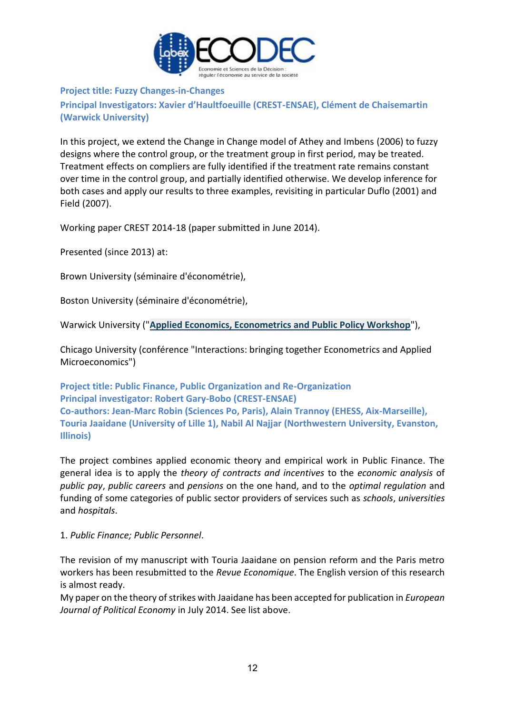

#### **Project title: Fuzzy Changes-in-Changes**

**Principal Investigators: Xavier d'Haultfoeuille (CREST-ENSAE), Clément de Chaisemartin (Warwick University)**

In this project, we extend the Change in Change model of Athey and Imbens (2006) to fuzzy designs where the control group, or the treatment group in first period, may be treated. Treatment effects on compliers are fully identified if the treatment rate remains constant over time in the control group, and partially identified otherwise. We develop inference for both cases and apply our results to three examples, revisiting in particular Duflo (2001) and Field (2007).

Working paper CREST 2014-18 (paper submitted in June 2014).

Presented (since 2013) at:

Brown University (séminaire d'économétrie),

Boston University (séminaire d'économétrie),

Warwick University ("**[Applied Economics, Econometrics and Public Policy Workshop](http://www2.warwick.ac.uk/fac/soc/economics/news_events/calendar/?calendarItem=094d43a2408650fb0140aa4e35e9512a)**"),

Chicago University (conférence "Interactions: bringing together Econometrics and Applied Microeconomics")

**Project title: Public Finance, Public Organization and Re-Organization Principal investigator: Robert Gary-Bobo (CREST-ENSAE) Co-authors: Jean-Marc Robin (Sciences Po, Paris), Alain Trannoy (EHESS, Aix-Marseille), Touria Jaaidane (University of Lille 1), Nabil Al Najjar (Northwestern University, Evanston, Illinois)** 

The project combines applied economic theory and empirical work in Public Finance. The general idea is to apply the *theory of contracts and incentives* to the *economic analysis* of *public pay*, *public careers* and *pensions* on the one hand, and to the *optimal regulation* and funding of some categories of public sector providers of services such as *schools*, *universities*  and *hospitals*.

#### 1. *Public Finance; Public Personnel*.

The revision of my manuscript with Touria Jaaidane on pension reform and the Paris metro workers has been resubmitted to the *Revue Economique*. The English version of this research is almost ready.

My paper on the theory of strikes with Jaaidane has been accepted for publication in *European Journal of Political Economy* in July 2014. See list above.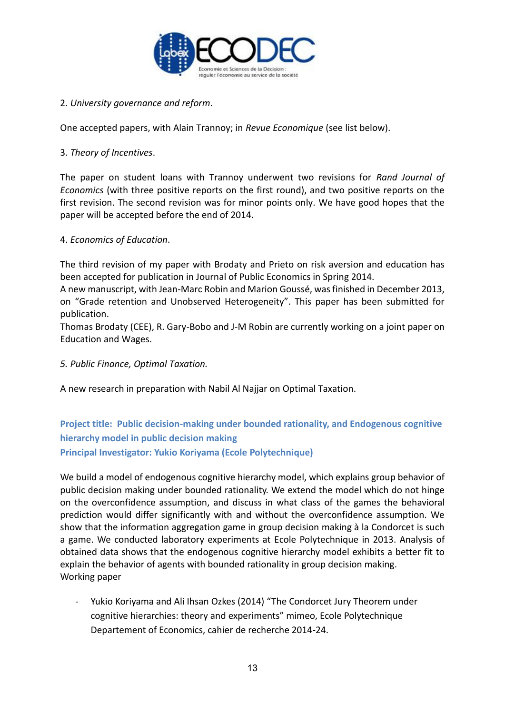

# 2. *University governance and reform*.

One accepted papers, with Alain Trannoy; in *Revue Economique* (see list below).

### 3. *Theory of Incentives*.

The paper on student loans with Trannoy underwent two revisions for *Rand Journal of Economics* (with three positive reports on the first round), and two positive reports on the first revision. The second revision was for minor points only. We have good hopes that the paper will be accepted before the end of 2014.

# 4. *Economics of Education*.

The third revision of my paper with Brodaty and Prieto on risk aversion and education has been accepted for publication in Journal of Public Economics in Spring 2014.

A new manuscript, with Jean-Marc Robin and Marion Goussé, was finished in December 2013, on "Grade retention and Unobserved Heterogeneity". This paper has been submitted for publication.

Thomas Brodaty (CEE), R. Gary-Bobo and J-M Robin are currently working on a joint paper on Education and Wages.

*5. Public Finance, Optimal Taxation.* 

A new research in preparation with Nabil Al Najjar on Optimal Taxation.

# **Project title: Public decision-making under bounded rationality, and Endogenous cognitive hierarchy model in public decision making Principal Investigator: Yukio Koriyama (Ecole Polytechnique)**

We build a model of endogenous cognitive hierarchy model, which explains group behavior of public decision making under bounded rationality. We extend the model which do not hinge on the overconfidence assumption, and discuss in what class of the games the behavioral prediction would differ significantly with and without the overconfidence assumption. We show that the information aggregation game in group decision making à la Condorcet is such a game. We conducted laboratory experiments at Ecole Polytechnique in 2013. Analysis of obtained data shows that the endogenous cognitive hierarchy model exhibits a better fit to explain the behavior of agents with bounded rationality in group decision making. Working paper

- Yukio Koriyama and Ali Ihsan Ozkes (2014) "The Condorcet Jury Theorem under cognitive hierarchies: theory and experiments" mimeo, Ecole Polytechnique Departement of Economics, cahier de recherche 2014-24.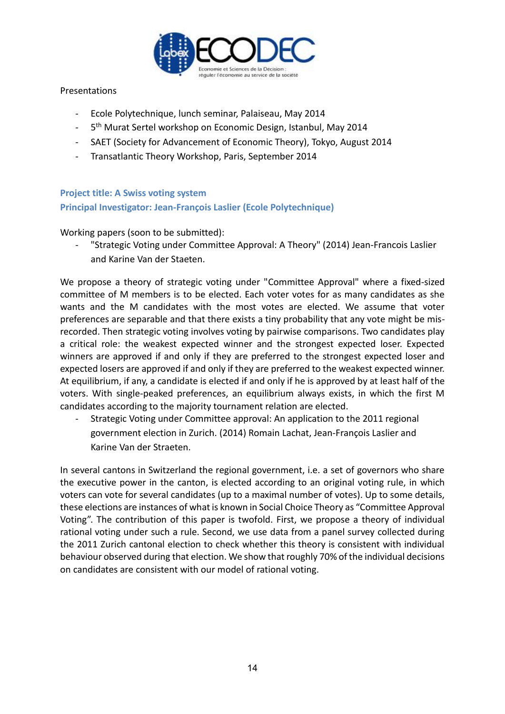

#### Presentations

- Ecole Polytechnique, lunch seminar, Palaiseau, May 2014
- 5<sup>th</sup> Murat Sertel workshop on Economic Design, Istanbul, May 2014
- SAET (Society for Advancement of Economic Theory), Tokyo, August 2014
- Transatlantic Theory Workshop, Paris, September 2014

#### **Project title: A Swiss voting system**

**Principal Investigator: Jean-François Laslier (Ecole Polytechnique)**

Working papers (soon to be submitted):

"Strategic Voting under Committee Approval: A Theory" (2014) Jean-Francois Laslier and Karine Van der Staeten.

We propose a theory of strategic voting under "Committee Approval" where a fixed-sized committee of M members is to be elected. Each voter votes for as many candidates as she wants and the M candidates with the most votes are elected. We assume that voter preferences are separable and that there exists a tiny probability that any vote might be misrecorded. Then strategic voting involves voting by pairwise comparisons. Two candidates play a critical role: the weakest expected winner and the strongest expected loser. Expected winners are approved if and only if they are preferred to the strongest expected loser and expected losers are approved if and only if they are preferred to the weakest expected winner. At equilibrium, if any, a candidate is elected if and only if he is approved by at least half of the voters. With single-peaked preferences, an equilibrium always exists, in which the first M candidates according to the majority tournament relation are elected.

- Strategic Voting under Committee approval: An application to the 2011 regional government election in Zurich. (2014) Romain Lachat, Jean-François Laslier and Karine Van der Straeten.

In several cantons in Switzerland the regional government, i.e. a set of governors who share the executive power in the canton, is elected according to an original voting rule, in which voters can vote for several candidates (up to a maximal number of votes). Up to some details, these elections are instances of what is known in Social Choice Theory as "Committee Approval Voting". The contribution of this paper is twofold. First, we propose a theory of individual rational voting under such a rule. Second, we use data from a panel survey collected during the 2011 Zurich cantonal election to check whether this theory is consistent with individual behaviour observed during that election. We show that roughly 70% of the individual decisions on candidates are consistent with our model of rational voting.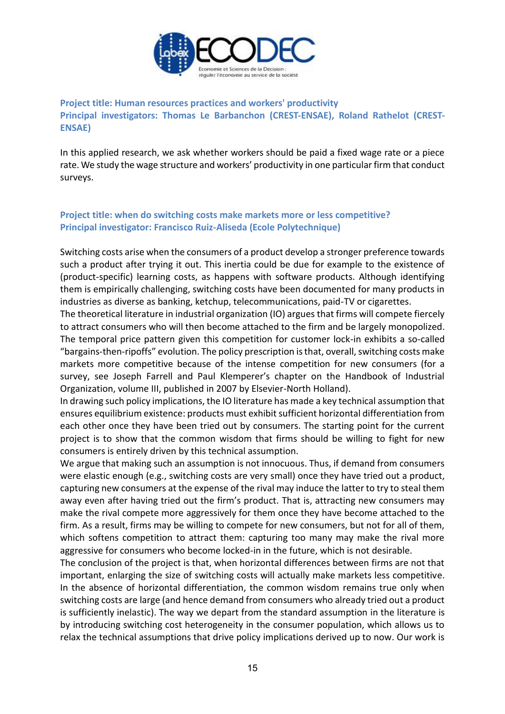

**Project title: Human resources practices and workers' productivity Principal investigators: Thomas Le Barbanchon (CREST-ENSAE), Roland Rathelot (CREST-ENSAE)**

In this applied research, we ask whether workers should be paid a fixed wage rate or a piece rate. We study the wage structure and workers' productivity in one particular firm that conduct surveys.

# **Project title: when do switching costs make markets more or less competitive? Principal investigator: Francisco Ruiz-Aliseda (Ecole Polytechnique)**

Switching costs arise when the consumers of a product develop a stronger preference towards such a product after trying it out. This inertia could be due for example to the existence of (product-specific) learning costs, as happens with software products. Although identifying them is empirically challenging, switching costs have been documented for many products in industries as diverse as banking, ketchup, telecommunications, paid-TV or cigarettes.

The theoretical literature in industrial organization (IO) argues that firms will compete fiercely to attract consumers who will then become attached to the firm and be largely monopolized. The temporal price pattern given this competition for customer lock-in exhibits a so-called "bargains-then-ripoffs" evolution. The policy prescription is that, overall, switching costs make markets more competitive because of the intense competition for new consumers (for a survey, see Joseph Farrell and Paul Klemperer's chapter on the Handbook of Industrial Organization, volume III, published in 2007 by Elsevier-North Holland).

In drawing such policy implications, the IO literature has made a key technical assumption that ensures equilibrium existence: products must exhibit sufficient horizontal differentiation from each other once they have been tried out by consumers. The starting point for the current project is to show that the common wisdom that firms should be willing to fight for new consumers is entirely driven by this technical assumption.

We argue that making such an assumption is not innocuous. Thus, if demand from consumers were elastic enough (e.g., switching costs are very small) once they have tried out a product, capturing new consumers at the expense of the rival may induce the latter to try to steal them away even after having tried out the firm's product. That is, attracting new consumers may make the rival compete more aggressively for them once they have become attached to the firm. As a result, firms may be willing to compete for new consumers, but not for all of them, which softens competition to attract them: capturing too many may make the rival more aggressive for consumers who become locked-in in the future, which is not desirable.

The conclusion of the project is that, when horizontal differences between firms are not that important, enlarging the size of switching costs will actually make markets less competitive. In the absence of horizontal differentiation, the common wisdom remains true only when switching costs are large (and hence demand from consumers who already tried out a product is sufficiently inelastic). The way we depart from the standard assumption in the literature is by introducing switching cost heterogeneity in the consumer population, which allows us to relax the technical assumptions that drive policy implications derived up to now. Our work is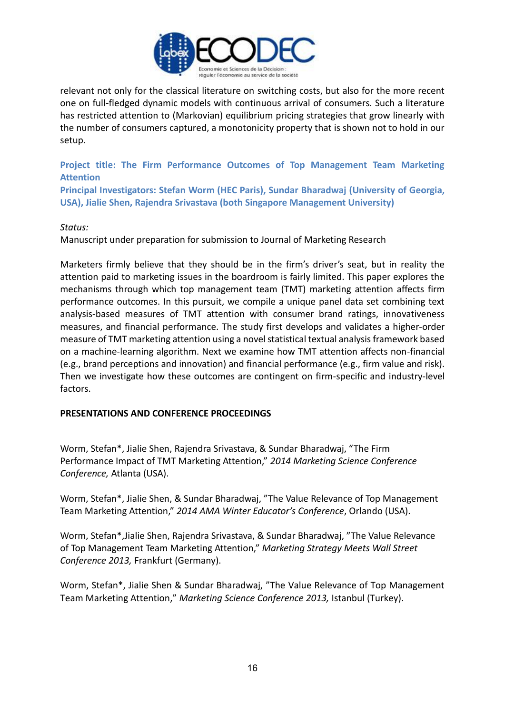

relevant not only for the classical literature on switching costs, but also for the more recent one on full-fledged dynamic models with continuous arrival of consumers. Such a literature has restricted attention to (Markovian) equilibrium pricing strategies that grow linearly with the number of consumers captured, a monotonicity property that is shown not to hold in our setup.

**Project title: The Firm Performance Outcomes of Top Management Team Marketing Attention**

**Principal Investigators: Stefan Worm (HEC Paris), Sundar Bharadwaj (University of Georgia, USA), Jialie Shen, Rajendra Srivastava (both Singapore Management University)**

#### *Status:*

Manuscript under preparation for submission to Journal of Marketing Research

Marketers firmly believe that they should be in the firm's driver's seat, but in reality the attention paid to marketing issues in the boardroom is fairly limited. This paper explores the mechanisms through which top management team (TMT) marketing attention affects firm performance outcomes. In this pursuit, we compile a unique panel data set combining text analysis-based measures of TMT attention with consumer brand ratings, innovativeness measures, and financial performance. The study first develops and validates a higher-order measure of TMT marketing attention using a novel statistical textual analysis framework based on a machine-learning algorithm. Next we examine how TMT attention affects non-financial (e.g., brand perceptions and innovation) and financial performance (e.g., firm value and risk). Then we investigate how these outcomes are contingent on firm-specific and industry-level factors.

#### **PRESENTATIONS AND CONFERENCE PROCEEDINGS**

Worm, Stefan\*, Jialie Shen, Rajendra Srivastava, & Sundar Bharadwaj, "The Firm Performance Impact of TMT Marketing Attention," *2014 Marketing Science Conference Conference,* Atlanta (USA).

Worm, Stefan\*, Jialie Shen, & Sundar Bharadwaj, "The Value Relevance of Top Management Team Marketing Attention," *2014 AMA Winter Educator's Conference*, Orlando (USA).

Worm, Stefan\*,Jialie Shen, Rajendra Srivastava, & Sundar Bharadwaj, "The Value Relevance of Top Management Team Marketing Attention," *Marketing Strategy Meets Wall Street Conference 2013,* Frankfurt (Germany).

Worm, Stefan\*, Jialie Shen & Sundar Bharadwaj, "The Value Relevance of Top Management Team Marketing Attention," *Marketing Science Conference 2013,* Istanbul (Turkey).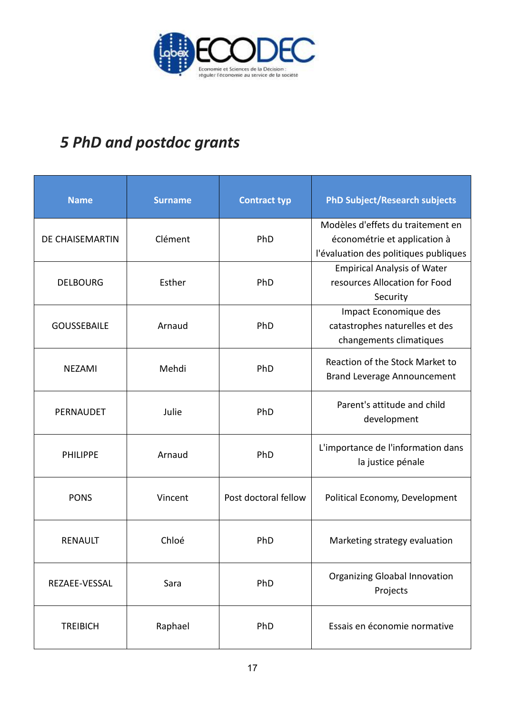

# *5 PhD and postdoc grants*

| <b>Name</b>            | <b>Surname</b> | <b>Contract typ</b>  | <b>PhD Subject/Research subjects</b>                                                                       |
|------------------------|----------------|----------------------|------------------------------------------------------------------------------------------------------------|
| <b>DE CHAISEMARTIN</b> | Clément        | PhD                  | Modèles d'effets du traitement en<br>économétrie et application à<br>l'évaluation des politiques publiques |
| <b>DELBOURG</b>        | Esther         | PhD                  | <b>Empirical Analysis of Water</b><br>resources Allocation for Food<br>Security                            |
| <b>GOUSSEBAILE</b>     | Arnaud         | PhD                  | Impact Economique des<br>catastrophes naturelles et des<br>changements climatiques                         |
| <b>NEZAMI</b>          | Mehdi          | PhD                  | Reaction of the Stock Market to<br><b>Brand Leverage Announcement</b>                                      |
| PERNAUDET              | Julie          | PhD                  | Parent's attitude and child<br>development                                                                 |
| <b>PHILIPPE</b>        | Arnaud         | PhD                  | L'importance de l'information dans<br>la justice pénale                                                    |
| <b>PONS</b>            | Vincent        | Post doctoral fellow | Political Economy, Development                                                                             |
| <b>RENAULT</b>         | Chloé          | PhD                  | Marketing strategy evaluation                                                                              |
| REZAEE-VESSAL          | Sara           | PhD                  | <b>Organizing Gloabal Innovation</b><br>Projects                                                           |
| <b>TREIBICH</b>        | Raphael        | PhD                  | Essais en économie normative                                                                               |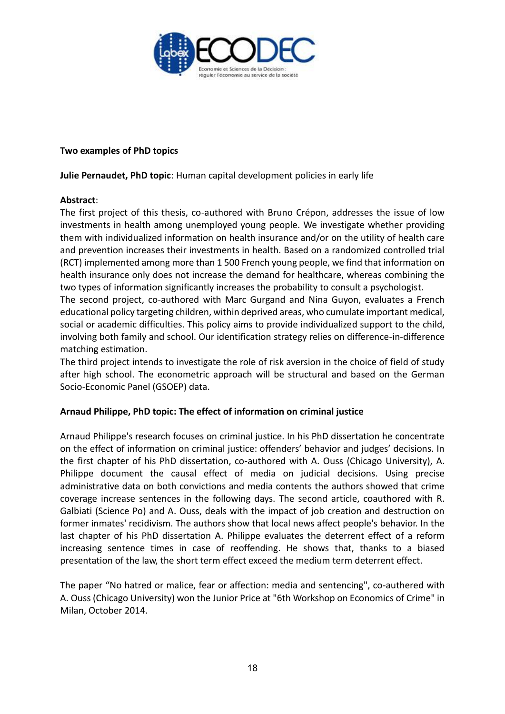

#### **Two examples of PhD topics**

**Julie Pernaudet, PhD topic**: Human capital development policies in early life

#### **Abstract**:

The first project of this thesis, co-authored with Bruno Crépon, addresses the issue of low investments in health among unemployed young people. We investigate whether providing them with individualized information on health insurance and/or on the utility of health care and prevention increases their investments in health. Based on a randomized controlled trial (RCT) implemented among more than 1 500 French young people, we find that information on health insurance only does not increase the demand for healthcare, whereas combining the two types of information significantly increases the probability to consult a psychologist.

The second project, co-authored with Marc Gurgand and Nina Guyon, evaluates a French educational policy targeting children, within deprived areas, who cumulate important medical, social or academic difficulties. This policy aims to provide individualized support to the child, involving both family and school. Our identification strategy relies on difference-in-difference matching estimation.

The third project intends to investigate the role of risk aversion in the choice of field of study after high school. The econometric approach will be structural and based on the German Socio-Economic Panel (GSOEP) data.

### **Arnaud Philippe, PhD topic: The effect of information on criminal justice**

Arnaud Philippe's research focuses on criminal justice. In his PhD dissertation he concentrate on the effect of information on criminal justice: offenders' behavior and judges' decisions. In the first chapter of his PhD dissertation, co-authored with A. Ouss (Chicago University), A. Philippe document the causal effect of media on judicial decisions. Using precise administrative data on both convictions and media contents the authors showed that crime coverage increase sentences in the following days. The second article, coauthored with R. Galbiati (Science Po) and A. Ouss, deals with the impact of job creation and destruction on former inmates' recidivism. The authors show that local news affect people's behavior. In the last chapter of his PhD dissertation A. Philippe evaluates the deterrent effect of a reform increasing sentence times in case of reoffending. He shows that, thanks to a biased presentation of the law, the short term effect exceed the medium term deterrent effect.

The paper "No hatred or malice, fear or affection: media and sentencing", co-authered with A. Ouss (Chicago University) won the Junior Price at "6th Workshop on Economics of Crime" in Milan, October 2014.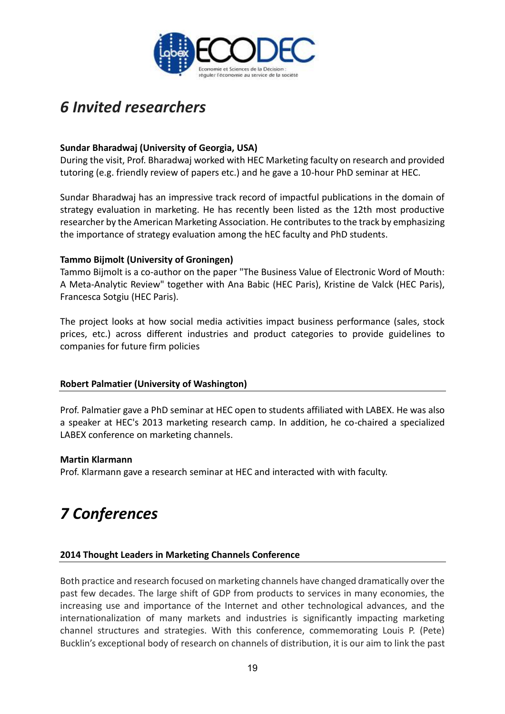

# *6 Invited researchers*

# **Sundar Bharadwaj (University of Georgia, USA)**

During the visit, Prof. Bharadwaj worked with HEC Marketing faculty on research and provided tutoring (e.g. friendly review of papers etc.) and he gave a 10-hour PhD seminar at HEC.

Sundar Bharadwaj has an impressive track record of impactful publications in the domain of strategy evaluation in marketing. He has recently been listed as the 12th most productive researcher by the American Marketing Association. He contributes to the track by emphasizing the importance of strategy evaluation among the hEC faculty and PhD students.

### **Tammo Bijmolt (University of Groningen)**

Tammo Bijmolt is a co-author on the paper "The Business Value of Electronic Word of Mouth: A Meta-Analytic Review" together with Ana Babic (HEC Paris), Kristine de Valck (HEC Paris), Francesca Sotgiu (HEC Paris).

The project looks at how social media activities impact business performance (sales, stock prices, etc.) across different industries and product categories to provide guidelines to companies for future firm policies

### **Robert Palmatier (University of Washington)**

Prof. Palmatier gave a PhD seminar at HEC open to students affiliated with LABEX. He was also a speaker at HEC's 2013 marketing research camp. In addition, he co-chaired a specialized LABEX conference on marketing channels.

### **Martin Klarmann**

Prof. Klarmann gave a research seminar at HEC and interacted with with faculty.

# *7 Conferences*

### **2014 Thought Leaders in Marketing Channels Conference**

Both practice and research focused on marketing channels have changed dramatically over the past few decades. The large shift of GDP from products to services in many economies, the increasing use and importance of the Internet and other technological advances, and the internationalization of many markets and industries is significantly impacting marketing channel structures and strategies. With this conference, commemorating Louis P. (Pete) Bucklin's exceptional body of research on channels of distribution, it is our aim to link the past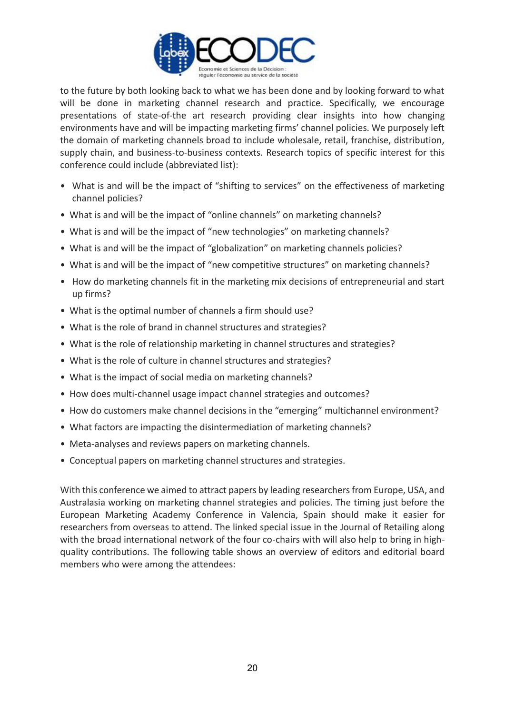

to the future by both looking back to what we has been done and by looking forward to what will be done in marketing channel research and practice. Specifically, we encourage presentations of state-of-the art research providing clear insights into how changing environments have and will be impacting marketing firms' channel policies. We purposely left the domain of marketing channels broad to include wholesale, retail, franchise, distribution, supply chain, and business-to-business contexts. Research topics of specific interest for this conference could include (abbreviated list):

- What is and will be the impact of "shifting to services" on the effectiveness of marketing channel policies?
- What is and will be the impact of "online channels" on marketing channels?
- What is and will be the impact of "new technologies" on marketing channels?
- What is and will be the impact of "globalization" on marketing channels policies?
- What is and will be the impact of "new competitive structures" on marketing channels?
- How do marketing channels fit in the marketing mix decisions of entrepreneurial and start up firms?
- What is the optimal number of channels a firm should use?
- What is the role of brand in channel structures and strategies?
- What is the role of relationship marketing in channel structures and strategies?
- What is the role of culture in channel structures and strategies?
- What is the impact of social media on marketing channels?
- How does multi-channel usage impact channel strategies and outcomes?
- How do customers make channel decisions in the "emerging" multichannel environment?
- What factors are impacting the disintermediation of marketing channels?
- Meta-analyses and reviews papers on marketing channels.
- Conceptual papers on marketing channel structures and strategies.

With this conference we aimed to attract papers by leading researchers from Europe, USA, and Australasia working on marketing channel strategies and policies. The timing just before the European Marketing Academy Conference in Valencia, Spain should make it easier for researchers from overseas to attend. The linked special issue in the Journal of Retailing along with the broad international network of the four co-chairs with will also help to bring in highquality contributions. The following table shows an overview of editors and editorial board members who were among the attendees: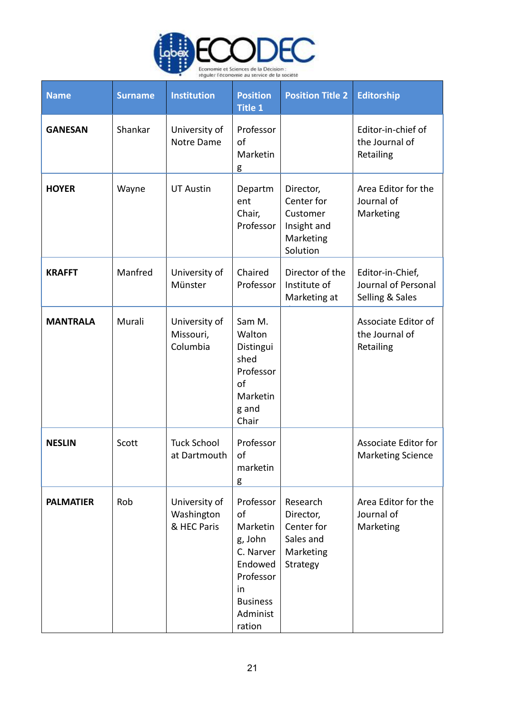

| <b>Name</b>      | <b>Surname</b> | <b>Institution</b>                         | <b>Position</b><br><b>Title 1</b>                                                                                          | <b>Position Title 2</b>                                                     | <b>Editorship</b>                                          |
|------------------|----------------|--------------------------------------------|----------------------------------------------------------------------------------------------------------------------------|-----------------------------------------------------------------------------|------------------------------------------------------------|
| <b>GANESAN</b>   | Shankar        | University of<br>Notre Dame                | Professor<br>of<br>Marketin<br>g                                                                                           |                                                                             | Editor-in-chief of<br>the Journal of<br>Retailing          |
| <b>HOYER</b>     | Wayne          | <b>UT Austin</b>                           | Departm<br>ent<br>Chair,<br>Professor                                                                                      | Director,<br>Center for<br>Customer<br>Insight and<br>Marketing<br>Solution | Area Editor for the<br>Journal of<br>Marketing             |
| <b>KRAFFT</b>    | Manfred        | University of<br>Münster                   | Chaired<br>Professor                                                                                                       | Director of the<br>Institute of<br>Marketing at                             | Editor-in-Chief,<br>Journal of Personal<br>Selling & Sales |
| <b>MANTRALA</b>  | Murali         | University of<br>Missouri,<br>Columbia     | Sam M.<br>Walton<br>Distingui<br>shed<br>Professor<br>of<br>Marketin<br>g and<br>Chair                                     |                                                                             | Associate Editor of<br>the Journal of<br>Retailing         |
| <b>NESLIN</b>    | Scott          | <b>Tuck School</b><br>at Dartmouth         | Professor<br>of<br>marketin<br>g                                                                                           |                                                                             | Associate Editor for<br><b>Marketing Science</b>           |
| <b>PALMATIER</b> | Rob            | University of<br>Washington<br>& HEC Paris | Professor<br>of<br>Marketin<br>g, John<br>C. Narver<br>Endowed<br>Professor<br>in<br><b>Business</b><br>Administ<br>ration | Research<br>Director,<br>Center for<br>Sales and<br>Marketing<br>Strategy   | Area Editor for the<br>Journal of<br>Marketing             |